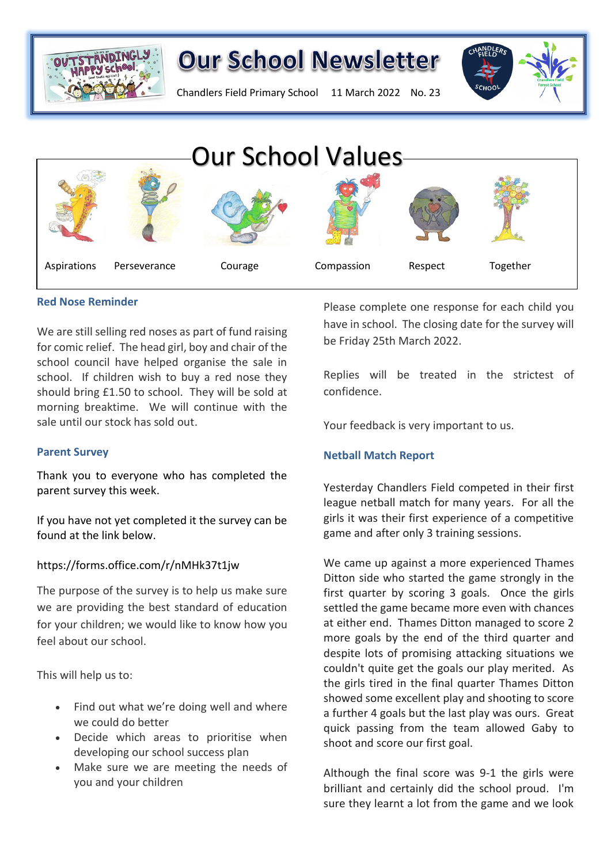

Chandlers Field Primary School 11 March 2022 No. 23



## **Red Nose Reminder**

We are still selling red noses as part of fund raising for comic relief. The head girl, boy and chair of the school council have helped organise the sale in school. If children wish to buy a red nose they should bring £1.50 to school. They will be sold at morning breaktime. We will continue with the sale until our stock has sold out.

## **Parent Survey**

Thank you to everyone who has completed the parent survey this week.

If you have not yet completed it the survey can be found at the link below.

## https://forms.office.com/r/nMHk37t1jw

The purpose of the survey is to help us make sure we are providing the best standard of education for your children; we would like to know how you feel about our school.

This will help us to:

- Find out what we're doing well and where we could do better
- Decide which areas to prioritise when developing our school success plan
- Make sure we are meeting the needs of you and your children

Please complete one response for each child you have in school. The closing date for the survey will be Friday 25th March 2022.

Replies will be treated in the strictest of confidence.

Your feedback is very important to us.

## **Netball Match Report**

Yesterday Chandlers Field competed in their first league netball match for many years. For all the girls it was their first experience of a competitive game and after only 3 training sessions.

We came up against a more experienced Thames Ditton side who started the game strongly in the first quarter by scoring 3 goals. Once the girls settled the game became more even with chances at either end. Thames Ditton managed to score 2 more goals by the end of the third quarter and despite lots of promising attacking situations we couldn't quite get the goals our play merited. As the girls tired in the final quarter Thames Ditton showed some excellent play and shooting to score a further 4 goals but the last play was ours. Great quick passing from the team allowed Gaby to shoot and score our first goal.

Although the final score was 9-1 the girls were brilliant and certainly did the school proud. I'm sure they learnt a lot from the game and we look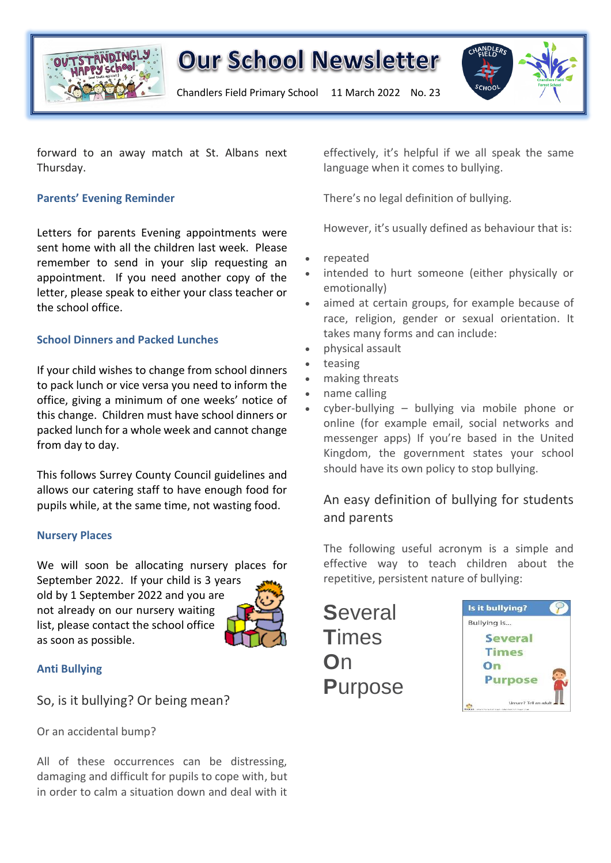

Chandlers Field Primary School 11 March 2022 No. 23



forward to an away match at St. Albans next Thursday.

## **Parents' Evening Reminder**

Letters for parents Evening appointments were sent home with all the children last week. Please remember to send in your slip requesting an appointment. If you need another copy of the letter, please speak to either your class teacher or the school office.

## **School Dinners and Packed Lunches**

If your child wishes to change from school dinners to pack lunch or vice versa you need to inform the office, giving a minimum of one weeks' notice of this change. Children must have school dinners or packed lunch for a whole week and cannot change from day to day.

This follows Surrey County Council guidelines and allows our catering staff to have enough food for pupils while, at the same time, not wasting food.

## **Nursery Places**

We will soon be allocating nursery places for September 2022. If your child is 3 years old by 1 September 2022 and you are not already on our nursery waiting list, please contact the school office as soon as possible.



## **Anti Bullying**

So, is it bullying? Or being mean?

Or an accidental bump?

All of these occurrences can be distressing, damaging and difficult for pupils to cope with, but in order to calm a situation down and deal with it effectively, it's helpful if we all speak the same language when it comes to bullying.

There's no legal definition of bullying.

However, it's usually defined as behaviour that is:

- repeated
- intended to hurt someone (either physically or emotionally)
- aimed at certain groups, for example because of race, religion, gender or sexual orientation. It takes many forms and can include:
- physical assault
- teasing
- making threats
- name calling
- $c$ yber-bullying bullying via mobile phone or online (for example email, social networks and messenger apps) If you're based in the United Kingdom, the government states your school should have its own policy to stop bullying.

## An easy definition of bullying for students and parents

The following useful acronym is a simple and effective way to teach children about the repetitive, persistent nature of bullying:

**S**everal **T**imes **O**n **P**urpose

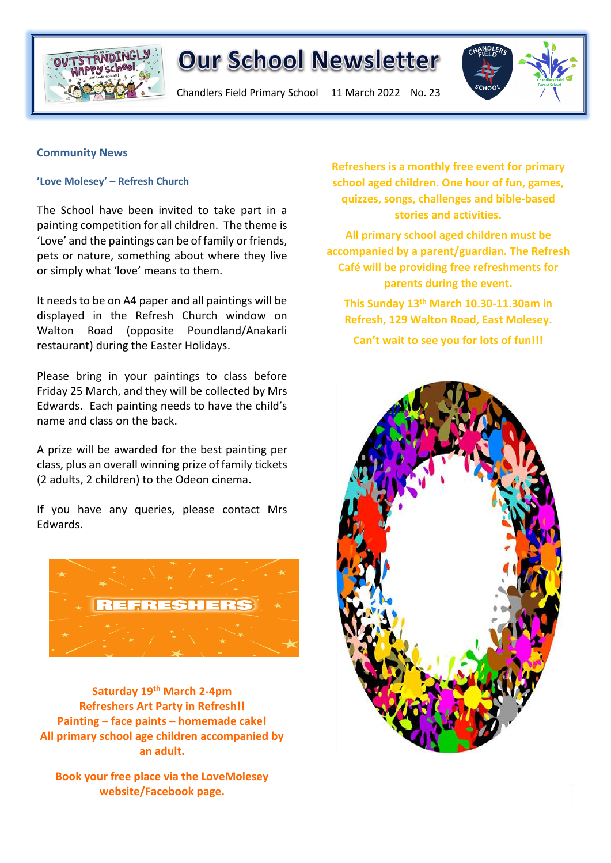

Chandlers Field Primary School 11 March 2022 No. 23



## **Community News**

### **'Love Molesey' – Refresh Church**

The School have been invited to take part in a painting competition for all children. The theme is 'Love' and the paintings can be of family or friends, pets or nature, something about where they live or simply what 'love' means to them.

It needs to be on A4 paper and all paintings will be displayed in the Refresh Church window on Walton Road (opposite Poundland/Anakarli restaurant) during the Easter Holidays.

Please bring in your paintings to class before Friday 25 March, and they will be collected by Mrs Edwards. Each painting needs to have the child's name and class on the back.

A prize will be awarded for the best painting per class, plus an overall winning prize of family tickets (2 adults, 2 children) to the Odeon cinema.

If you have any queries, please contact Mrs Edwards.



**Saturday 19th March 2-4pm Refreshers Art Party in Refresh!! Painting – face paints – homemade cake! All primary school age children accompanied by an adult.**

**Book your free place via the LoveMolesey** 

**school aged children. One hour of fun, games, quizzes, songs, challenges and bible-based stories and activities.**

**All primary school aged children must be accompanied by a parent/guardian. The Refresh Café will be providing free refreshments for parents during the event.**

**This Sunday 13th March 10.30-11.30am in Refresh, 129 Walton Road, East Molesey.**

**Can't wait to see you for lots of fun!!!**